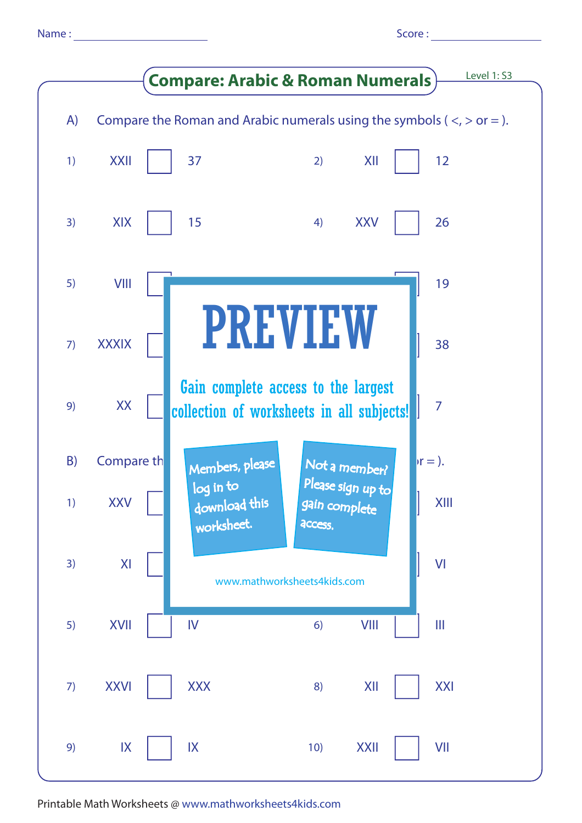